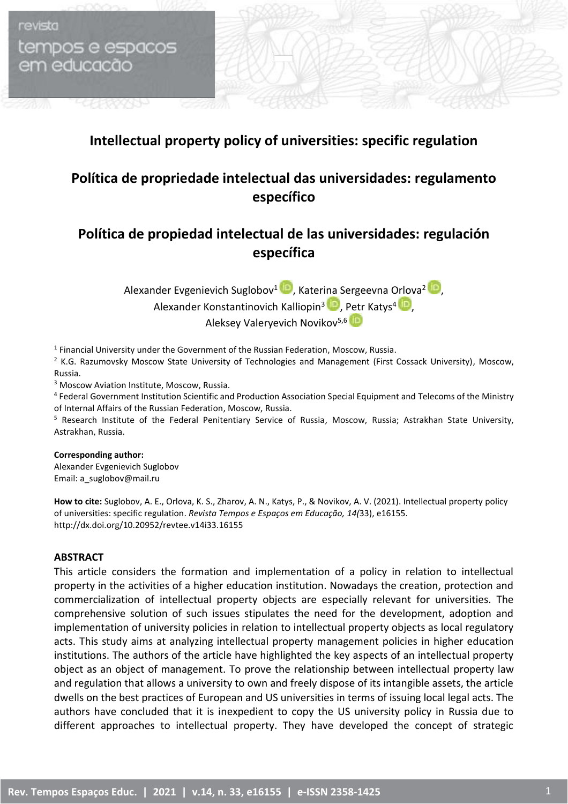tempos e espacos em educacão

revista

## **Intellectual property policy of universities: specific regulation**

# **Política de propriedade intelectual das universidades: regulamento específico**

## **Política de propiedad intelectual de las universidades: regulación específica**

Alexander Evgenievich Suglobov<sup>1</sup> (C)[,](https://orcid.org/0000-0002-8527-7054) Katerina Sergeevna Orlova<sup>2</sup> (C), Alexander Konstantinovich Kalliopin<sup>3</sup> **D**, [Petr](https://orcid.org/0000-0002-6418-7543) Katys<sup>4</sup> D, Aleksey Valeryevich Novikov<sup>5,6</sup>

 $<sup>1</sup>$  Financial University under the Government of the Russian Federation, Moscow, Russia.</sup>

<sup>2</sup> K.G. Razumovsky Moscow State University of Technologies and Management (First Cossack University), Moscow, Russia.

<sup>3</sup> Moscow Aviation Institute, Moscow, Russia.

4 Federal Government Institution Scientific and Production Association Special Equipment and Telecoms of the Ministry of Internal Affairs of the Russian Federation, Moscow, Russia.

<sup>5</sup> Research Institute of the Federal Penitentiary Service of Russia, Moscow, Russia; Astrakhan State University, Astrakhan, Russia.

#### **Corresponding author:**

Alexander Evgenievich Suglobov Email: a\_suglobov@mail.ru

**How to cite:** Suglobov, A. E., Orlova, K. S., Zharov, A. N., Katys, P., & Novikov, A. V. (2021). Intellectual property policy of universities: specific regulation. *Revista Tempos e Espaços em Educação, 14(*33), e16155. http://dx.doi.org/10.20952/revtee.v14i33.16155

### **ABSTRACT**

This article considers the formation and implementation of a policy in relation to intellectual property in the activities of a higher education institution. Nowadays the creation, protection and commercialization of intellectual property objects are especially relevant for universities. The comprehensive solution of such issues stipulates the need for the development, adoption and implementation of university policies in relation to intellectual property objects as local regulatory acts. This study aims at analyzing intellectual property management policies in higher education institutions. The authors of the article have highlighted the key aspects of an intellectual property object as an object of management. To prove the relationship between intellectual property law and regulation that allows a university to own and freely dispose of its intangible assets, the article dwells on the best practices of European and US universities in terms of issuing local legal acts. The authors have concluded that it is inexpedient to copy the US university policy in Russia due to different approaches to intellectual property. They have developed the concept of strategic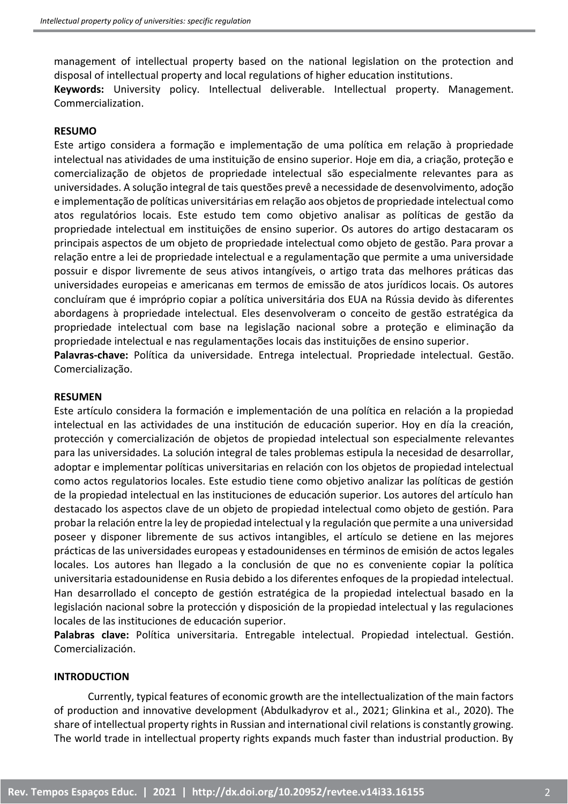management of intellectual property based on the national legislation on the protection and disposal of intellectual property and local regulations of higher education institutions.

**Keywords:** University policy. Intellectual deliverable. Intellectual property. Management. Commercialization.

### **RESUMO**

Este artigo considera a formação e implementação de uma política em relação à propriedade intelectual nas atividades de uma instituição de ensino superior. Hoje em dia, a criação, proteção e comercialização de objetos de propriedade intelectual são especialmente relevantes para as universidades. A solução integral de tais questões prevê a necessidade de desenvolvimento, adoção e implementação de políticas universitárias em relação aos objetos de propriedade intelectual como atos regulatórios locais. Este estudo tem como objetivo analisar as políticas de gestão da propriedade intelectual em instituições de ensino superior. Os autores do artigo destacaram os principais aspectos de um objeto de propriedade intelectual como objeto de gestão. Para provar a relação entre a lei de propriedade intelectual e a regulamentação que permite a uma universidade possuir e dispor livremente de seus ativos intangíveis, o artigo trata das melhores práticas das universidades europeias e americanas em termos de emissão de atos jurídicos locais. Os autores concluíram que é impróprio copiar a política universitária dos EUA na Rússia devido às diferentes abordagens à propriedade intelectual. Eles desenvolveram o conceito de gestão estratégica da propriedade intelectual com base na legislação nacional sobre a proteção e eliminação da propriedade intelectual e nas regulamentações locais das instituições de ensino superior.

**Palavras-chave:** Política da universidade. Entrega intelectual. Propriedade intelectual. Gestão. Comercialização.

#### **RESUMEN**

Este artículo considera la formación e implementación de una política en relación a la propiedad intelectual en las actividades de una institución de educación superior. Hoy en día la creación, protección y comercialización de objetos de propiedad intelectual son especialmente relevantes para las universidades. La solución integral de tales problemas estipula la necesidad de desarrollar, adoptar e implementar políticas universitarias en relación con los objetos de propiedad intelectual como actos regulatorios locales. Este estudio tiene como objetivo analizar las políticas de gestión de la propiedad intelectual en las instituciones de educación superior. Los autores del artículo han destacado los aspectos clave de un objeto de propiedad intelectual como objeto de gestión. Para probar la relación entre la ley de propiedad intelectual y la regulación que permite a una universidad poseer y disponer libremente de sus activos intangibles, el artículo se detiene en las mejores prácticas de las universidades europeas y estadounidenses en términos de emisión de actos legales locales. Los autores han llegado a la conclusión de que no es conveniente copiar la política universitaria estadounidense en Rusia debido a los diferentes enfoques de la propiedad intelectual. Han desarrollado el concepto de gestión estratégica de la propiedad intelectual basado en la legislación nacional sobre la protección y disposición de la propiedad intelectual y las regulaciones locales de las instituciones de educación superior.

**Palabras clave:** Política universitaria. Entregable intelectual. Propiedad intelectual. Gestión. Comercialización.

### **INTRODUCTION**

Currently, typical features of economic growth are the intellectualization of the main factors of production and innovative development (Abdulkadyrov et al., 2021; Glinkina et al., 2020). The share of intellectual property rights in Russian and international civil relations is constantly growing. The world trade in intellectual property rights expands much faster than industrial production. By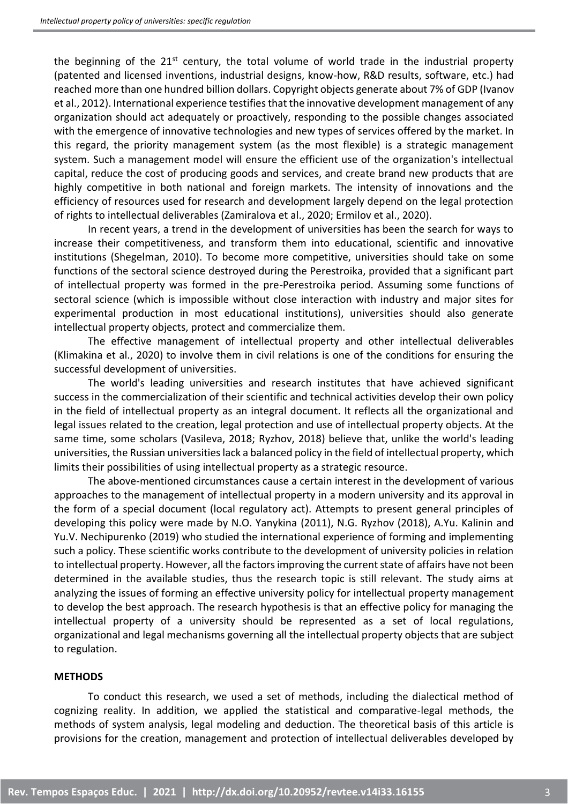the beginning of the 21<sup>st</sup> century, the total volume of world trade in the industrial property (patented and licensed inventions, industrial designs, know-how, R&D results, software, etc.) had reached more than one hundred billion dollars. Copyright objects generate about 7% of GDP (Ivanov et al., 2012). International experience testifies that the innovative development management of any organization should act adequately or proactively, responding to the possible changes associated with the emergence of innovative technologies and new types of services offered by the market. In this regard, the priority management system (as the most flexible) is a strategic management system. Such a management model will ensure the efficient use of the organization's intellectual capital, reduce the cost of producing goods and services, and create brand new products that are highly competitive in both national and foreign markets. The intensity of innovations and the efficiency of resources used for research and development largely depend on the legal protection of rights to intellectual deliverables (Zamiralova et al., 2020; Ermilov et al., 2020).

In recent years, a trend in the development of universities has been the search for ways to increase their competitiveness, and transform them into educational, scientific and innovative institutions (Shegelman, 2010). To become more competitive, universities should take on some functions of the sectoral science destroyed during the Perestroika, provided that a significant part of intellectual property was formed in the pre-Perestroika period. Assuming some functions of sectoral science (which is impossible without close interaction with industry and major sites for experimental production in most educational institutions), universities should also generate intellectual property objects, protect and commercialize them.

The effective management of intellectual property and other intellectual deliverables (Klimakina et al., 2020) to involve them in civil relations is one of the conditions for ensuring the successful development of universities.

The world's leading universities and research institutes that have achieved significant success in the commercialization of their scientific and technical activities develop their own policy in the field of intellectual property as an integral document. It reflects all the organizational and legal issues related to the creation, legal protection and use of intellectual property objects. At the same time, some scholars (Vasileva, 2018; Ryzhov, 2018) believe that, unlike the world's leading universities, the Russian universities lack a balanced policy in the field of intellectual property, which limits their possibilities of using intellectual property as a strategic resource.

The above-mentioned circumstances cause a certain interest in the development of various approaches to the management of intellectual property in a modern university and its approval in the form of a special document (local regulatory act). Attempts to present general principles of developing this policy were made by N.O. Yanykina (2011), N.G. Ryzhov (2018), A.Yu. Kalinin and Yu.V. Nechipurenko (2019) who studied the international experience of forming and implementing such a policy. These scientific works contribute to the development of university policies in relation to intellectual property. However, all the factors improving the current state of affairs have not been determined in the available studies, thus the research topic is still relevant. The study aims at analyzing the issues of forming an effective university policy for intellectual property management to develop the best approach. The research hypothesis is that an effective policy for managing the intellectual property of a university should be represented as a set of local regulations, organizational and legal mechanisms governing all the intellectual property objects that are subject to regulation.

### **METHODS**

To conduct this research, we used a set of methods, including the dialectical method of cognizing reality. In addition, we applied the statistical and comparative-legal methods, the methods of system analysis, legal modeling and deduction. The theoretical basis of this article is provisions for the creation, management and protection of intellectual deliverables developed by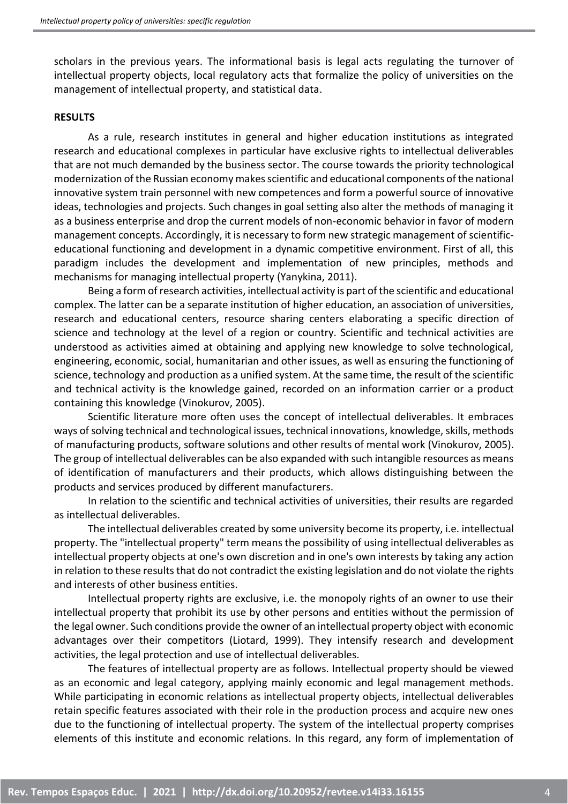scholars in the previous years. The informational basis is legal acts regulating the turnover of intellectual property objects, local regulatory acts that formalize the policy of universities on the management of intellectual property, and statistical data.

#### **RESULTS**

As a rule, research institutes in general and higher education institutions as integrated research and educational complexes in particular have exclusive rights to intellectual deliverables that are not much demanded by the business sector. The course towards the priority technological modernization of the Russian economy makes scientific and educational components of the national innovative system train personnel with new competences and form a powerful source of innovative ideas, technologies and projects. Such changes in goal setting also alter the methods of managing it as a business enterprise and drop the current models of non-economic behavior in favor of modern management concepts. Accordingly, it is necessary to form new strategic management of scientificeducational functioning and development in a dynamic competitive environment. First of all, this paradigm includes the development and implementation of new principles, methods and mechanisms for managing intellectual property (Yanykina, 2011).

Being a form of research activities, intellectual activity is part of the scientific and educational complex. The latter can be a separate institution of higher education, an association of universities, research and educational centers, resource sharing centers elaborating a specific direction of science and technology at the level of a region or country. Scientific and technical activities are understood as activities aimed at obtaining and applying new knowledge to solve technological, engineering, economic, social, humanitarian and other issues, as well as ensuring the functioning of science, technology and production as a unified system. At the same time, the result of the scientific and technical activity is the knowledge gained, recorded on an information carrier or a product containing this knowledge (Vinokurov, 2005).

Scientific literature more often uses the concept of intellectual deliverables. It embraces ways of solving technical and technological issues, technical innovations, knowledge, skills, methods of manufacturing products, software solutions and other results of mental work (Vinokurov, 2005). The group of intellectual deliverables can be also expanded with such intangible resources as means of identification of manufacturers and their products, which allows distinguishing between the products and services produced by different manufacturers.

In relation to the scientific and technical activities of universities, their results are regarded as intellectual deliverables.

The intellectual deliverables created by some university become its property, i.e. intellectual property. The "intellectual property" term means the possibility of using intellectual deliverables as intellectual property objects at one's own discretion and in one's own interests by taking any action in relation to these results that do not contradict the existing legislation and do not violate the rights and interests of other business entities.

Intellectual property rights are exclusive, i.e. the monopoly rights of an owner to use their intellectual property that prohibit its use by other persons and entities without the permission of the legal owner. Such conditions provide the owner of an intellectual property object with economic advantages over their competitors (Liotard, 1999). They intensify research and development activities, the legal protection and use of intellectual deliverables.

The features of intellectual property are as follows. Intellectual property should be viewed as an economic and legal category, applying mainly economic and legal management methods. While participating in economic relations as intellectual property objects, intellectual deliverables retain specific features associated with their role in the production process and acquire new ones due to the functioning of intellectual property. The system of the intellectual property comprises elements of this institute and economic relations. In this regard, any form of implementation of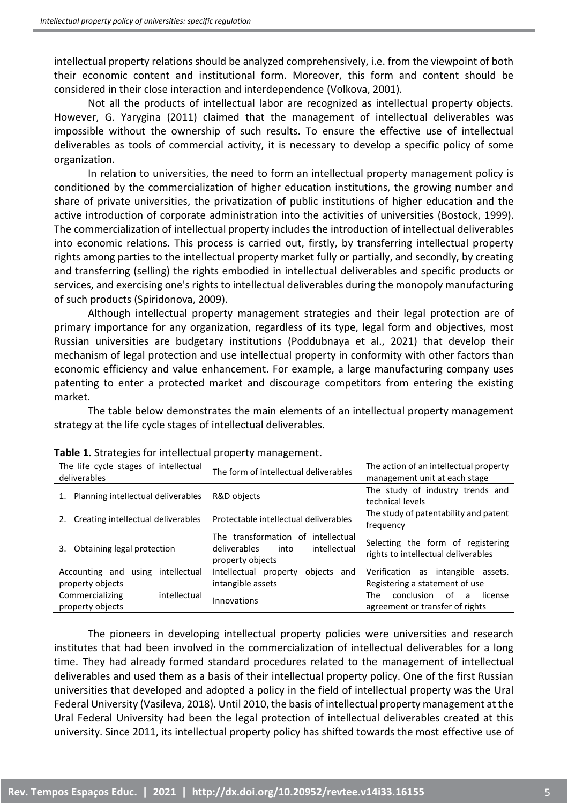intellectual property relations should be analyzed comprehensively, i.e. from the viewpoint of both their economic content and institutional form. Moreover, this form and content should be considered in their close interaction and interdependence (Volkova, 2001).

Not all the products of intellectual labor are recognized as intellectual property objects. However, G. Yarygina (2011) claimed that the management of intellectual deliverables was impossible without the ownership of such results. To ensure the effective use of intellectual deliverables as tools of commercial activity, it is necessary to develop a specific policy of some organization.

In relation to universities, the need to form an intellectual property management policy is conditioned by the commercialization of higher education institutions, the growing number and share of private universities, the privatization of public institutions of higher education and the active introduction of corporate administration into the activities of universities (Bostock, 1999). The commercialization of intellectual property includes the introduction of intellectual deliverables into economic relations. This process is carried out, firstly, by transferring intellectual property rights among parties to the intellectual property market fully or partially, and secondly, by creating and transferring (selling) the rights embodied in intellectual deliverables and specific products or services, and exercising one's rights to intellectual deliverables during the monopoly manufacturing of such products (Spiridonova, 2009).

Although intellectual property management strategies and their legal protection are of primary importance for any organization, regardless of its type, legal form and objectives, most Russian universities are budgetary institutions (Poddubnaya et al., 2021) that develop their mechanism of legal protection and use intellectual property in conformity with other factors than economic efficiency and value enhancement. For example, a large manufacturing company uses patenting to enter a protected market and discourage competitors from entering the existing market.

The table below demonstrates the main elements of an intellectual property management strategy at the life cycle stages of intellectual deliverables.

| The life cycle stages of intellectual<br>deliverables    | The form of intellectual deliverables                                                          | The action of an intellectual property<br>management unit at each stage      |
|----------------------------------------------------------|------------------------------------------------------------------------------------------------|------------------------------------------------------------------------------|
| 1. Planning intellectual deliverables                    | R&D objects                                                                                    | The study of industry trends and<br>technical levels                         |
| 2. Creating intellectual deliverables                    | Protectable intellectual deliverables                                                          | The study of patentability and patent<br>frequency                           |
| Obtaining legal protection<br>3.                         | The transformation of intellectual<br>deliverables<br>intellectual<br>into<br>property objects | Selecting the form of registering<br>rights to intellectual deliverables     |
| Accounting and<br>using intellectual<br>property objects | Intellectual property<br>obiects<br>and<br>intangible assets                                   | Verification as intangible<br>assets.<br>Registering a statement of use      |
| Commercializing<br>intellectual<br>property objects      | Innovations                                                                                    | conclusion<br>of<br>The<br>license<br>a -<br>agreement or transfer of rights |

| Table 1. Strategies for intellectual property management. |  |  |  |
|-----------------------------------------------------------|--|--|--|
|-----------------------------------------------------------|--|--|--|

The pioneers in developing intellectual property policies were universities and research institutes that had been involved in the commercialization of intellectual deliverables for a long time. They had already formed standard procedures related to the management of intellectual deliverables and used them as a basis of their intellectual property policy. One of the first Russian universities that developed and adopted a policy in the field of intellectual property was the Ural Federal University (Vasileva, 2018). Until 2010, the basis of intellectual property management at the Ural Federal University had been the legal protection of intellectual deliverables created at this university. Since 2011, its intellectual property policy has shifted towards the most effective use of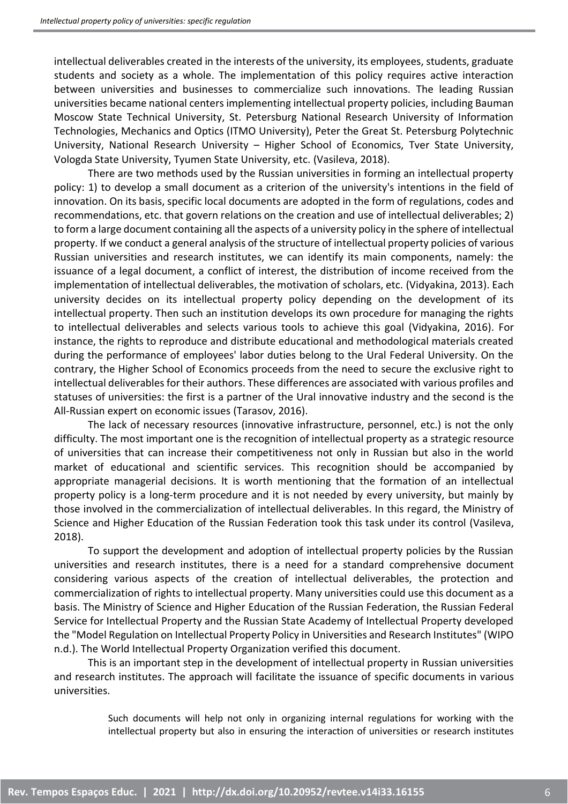intellectual deliverables created in the interests of the university, its employees, students, graduate students and society as a whole. The implementation of this policy requires active interaction between universities and businesses to commercialize such innovations. The leading Russian universities became national centers implementing intellectual property policies, including Bauman Moscow State Technical University, St. Petersburg National Research University of Information Technologies, Mechanics and Optics (ITMO University), Peter the Great St. Petersburg Polytechnic University, National Research University – Higher School of Economics, Tver State University, Vologda State University, Tyumen State University, etc. (Vasileva, 2018).

There are two methods used by the Russian universities in forming an intellectual property policy: 1) to develop a small document as a criterion of the university's intentions in the field of innovation. On its basis, specific local documents are adopted in the form of regulations, codes and recommendations, etc. that govern relations on the creation and use of intellectual deliverables; 2) to form a large document containing all the aspects of a university policy in the sphere of intellectual property. If we conduct a general analysis of the structure of intellectual property policies of various Russian universities and research institutes, we can identify its main components, namely: the issuance of a legal document, a conflict of interest, the distribution of income received from the implementation of intellectual deliverables, the motivation of scholars, etc. (Vidyakina, 2013). Each university decides on its intellectual property policy depending on the development of its intellectual property. Then such an institution develops its own procedure for managing the rights to intellectual deliverables and selects various tools to achieve this goal (Vidyakina, 2016). For instance, the rights to reproduce and distribute educational and methodological materials created during the performance of employees' labor duties belong to the Ural Federal University. On the contrary, the Higher School of Economics proceeds from the need to secure the exclusive right to intellectual deliverables for their authors. These differences are associated with various profiles and statuses of universities: the first is a partner of the Ural innovative industry and the second is the All-Russian expert on economic issues (Tarasov, 2016).

The lack of necessary resources (innovative infrastructure, personnel, etc.) is not the only difficulty. The most important one is the recognition of intellectual property as a strategic resource of universities that can increase their competitiveness not only in Russian but also in the world market of educational and scientific services. This recognition should be accompanied by appropriate managerial decisions. It is worth mentioning that the formation of an intellectual property policy is a long-term procedure and it is not needed by every university, but mainly by those involved in the commercialization of intellectual deliverables. In this regard, the Ministry of Science and Higher Education of the Russian Federation took this task under its control (Vasileva, 2018).

To support the development and adoption of intellectual property policies by the Russian universities and research institutes, there is a need for a standard comprehensive document considering various aspects of the creation of intellectual deliverables, the protection and commercialization of rights to intellectual property. Many universities could use this document as a basis. The Ministry of Science and Higher Education of the Russian Federation, the Russian Federal Service for Intellectual Property and the Russian State Academy of Intellectual Property developed the "Model Regulation on Intellectual Property Policy in Universities and Research Institutes" (WIPO n.d.). The World Intellectual Property Organization verified this document.

This is an important step in the development of intellectual property in Russian universities and research institutes. The approach will facilitate the issuance of specific documents in various universities.

> Such documents will help not only in organizing internal regulations for working with the intellectual property but also in ensuring the interaction of universities or research institutes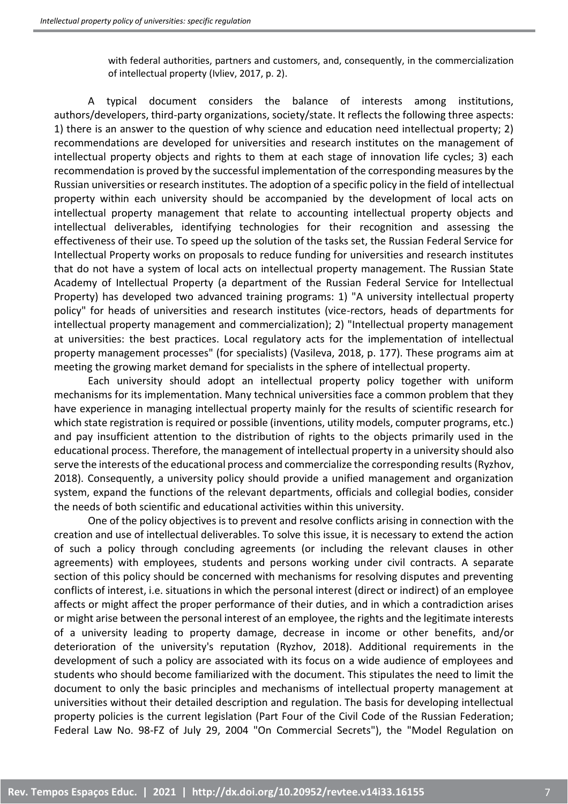with federal authorities, partners and customers, and, consequently, in the commercialization of intellectual property (Ivliev, 2017, p. 2).

A typical document considers the balance of interests among institutions, authors/developers, third-party organizations, society/state. It reflects the following three aspects: 1) there is an answer to the question of why science and education need intellectual property; 2) recommendations are developed for universities and research institutes on the management of intellectual property objects and rights to them at each stage of innovation life cycles; 3) each recommendation is proved by the successful implementation of the corresponding measures by the Russian universities or research institutes. The adoption of a specific policy in the field of intellectual property within each university should be accompanied by the development of local acts on intellectual property management that relate to accounting intellectual property objects and intellectual deliverables, identifying technologies for their recognition and assessing the effectiveness of their use. To speed up the solution of the tasks set, the Russian Federal Service for Intellectual Property works on proposals to reduce funding for universities and research institutes that do not have a system of local acts on intellectual property management. The Russian State Academy of Intellectual Property (a department of the Russian Federal Service for Intellectual Property) has developed two advanced training programs: 1) "A university intellectual property policy" for heads of universities and research institutes (vice-rectors, heads of departments for intellectual property management and commercialization); 2) "Intellectual property management at universities: the best practices. Local regulatory acts for the implementation of intellectual property management processes" (for specialists) (Vasileva, 2018, p. 177). These programs aim at meeting the growing market demand for specialists in the sphere of intellectual property.

Each university should adopt an intellectual property policy together with uniform mechanisms for its implementation. Many technical universities face a common problem that they have experience in managing intellectual property mainly for the results of scientific research for which state registration is required or possible (inventions, utility models, computer programs, etc.) and pay insufficient attention to the distribution of rights to the objects primarily used in the educational process. Therefore, the management of intellectual property in a university should also serve the interests of the educational process and commercialize the corresponding results (Ryzhov, 2018). Consequently, a university policy should provide a unified management and organization system, expand the functions of the relevant departments, officials and collegial bodies, consider the needs of both scientific and educational activities within this university.

One of the policy objectives is to prevent and resolve conflicts arising in connection with the creation and use of intellectual deliverables. To solve this issue, it is necessary to extend the action of such a policy through concluding agreements (or including the relevant clauses in other agreements) with employees, students and persons working under civil contracts. A separate section of this policy should be concerned with mechanisms for resolving disputes and preventing conflicts of interest, i.e. situations in which the personal interest (direct or indirect) of an employee affects or might affect the proper performance of their duties, and in which a contradiction arises or might arise between the personal interest of an employee, the rights and the legitimate interests of a university leading to property damage, decrease in income or other benefits, and/or deterioration of the university's reputation (Ryzhov, 2018). Additional requirements in the development of such a policy are associated with its focus on a wide audience of employees and students who should become familiarized with the document. This stipulates the need to limit the document to only the basic principles and mechanisms of intellectual property management at universities without their detailed description and regulation. The basis for developing intellectual property policies is the current legislation (Part Four of the Civil Code of the Russian Federation; Federal Law No. 98-FZ of July 29, 2004 "On Commercial Secrets"), the "Model Regulation on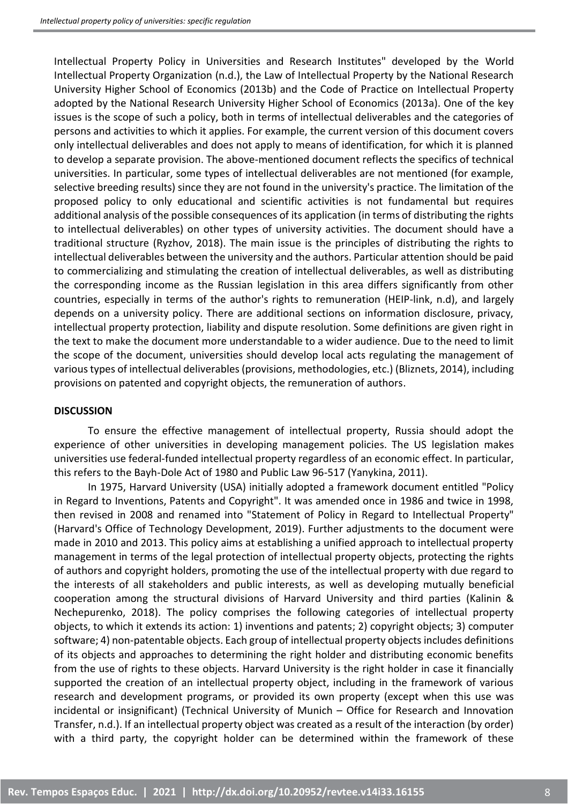Intellectual Property Policy in Universities and Research Institutes" developed by the World Intellectual Property Organization (n.d.), the Law of Intellectual Property by the National Research University Higher School of Economics (2013b) and the Code of Practice on Intellectual Property adopted by the National Research University Higher School of Economics (2013a). One of the key issues is the scope of such a policy, both in terms of intellectual deliverables and the categories of persons and activities to which it applies. For example, the current version of this document covers only intellectual deliverables and does not apply to means of identification, for which it is planned to develop a separate provision. The above-mentioned document reflects the specifics of technical universities. In particular, some types of intellectual deliverables are not mentioned (for example, selective breeding results) since they are not found in the university's practice. The limitation of the proposed policy to only educational and scientific activities is not fundamental but requires additional analysis of the possible consequences of its application (in terms of distributing the rights to intellectual deliverables) on other types of university activities. The document should have a traditional structure (Ryzhov, 2018). The main issue is the principles of distributing the rights to intellectual deliverables between the university and the authors. Particular attention should be paid to commercializing and stimulating the creation of intellectual deliverables, as well as distributing the corresponding income as the Russian legislation in this area differs significantly from other countries, especially in terms of the author's rights to remuneration (HEIP-link, n.d), and largely depends on a university policy. There are additional sections on information disclosure, privacy, intellectual property protection, liability and dispute resolution. Some definitions are given right in the text to make the document more understandable to a wider audience. Due to the need to limit the scope of the document, universities should develop local acts regulating the management of various types of intellectual deliverables (provisions, methodologies, etc.) (Bliznets, 2014), including provisions on patented and copyright objects, the remuneration of authors.

### **DISCUSSION**

To ensure the effective management of intellectual property, Russia should adopt the experience of other universities in developing management policies. The US legislation makes universities use federal-funded intellectual property regardless of an economic effect. In particular, this refers to the Bayh-Dole Act of 1980 and Public Law 96-517 (Yanykina, 2011).

In 1975, Harvard University (USA) initially adopted a framework document entitled "Policy in Regard to Inventions, Patents and Copyright". It was amended once in 1986 and twice in 1998, then revised in 2008 and renamed into "Statement of Policy in Regard to Intellectual Property" (Harvard's Office of Technology Development, 2019). Further adjustments to the document were made in 2010 and 2013. This policy aims at establishing a unified approach to intellectual property management in terms of the legal protection of intellectual property objects, protecting the rights of authors and copyright holders, promoting the use of the intellectual property with due regard to the interests of all stakeholders and public interests, as well as developing mutually beneficial cooperation among the structural divisions of Harvard University and third parties (Kalinin & Nechepurenko, 2018). The policy comprises the following categories of intellectual property objects, to which it extends its action: 1) inventions and patents; 2) copyright objects; 3) computer software; 4) non-patentable objects. Each group of intellectual property objects includes definitions of its objects and approaches to determining the right holder and distributing economic benefits from the use of rights to these objects. Harvard University is the right holder in case it financially supported the creation of an intellectual property object, including in the framework of various research and development programs, or provided its own property (except when this use was incidental or insignificant) (Technical University of Munich – Office for Research and Innovation Transfer, n.d.). If an intellectual property object was created as a result of the interaction (by order) with a third party, the copyright holder can be determined within the framework of these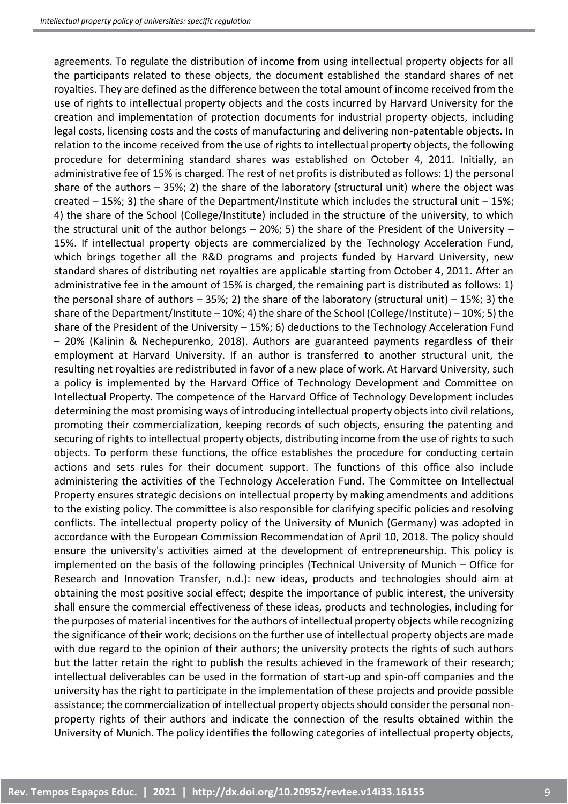agreements. To regulate the distribution of income from using intellectual property objects for all the participants related to these objects, the document established the standard shares of net royalties. They are defined as the difference between the total amount of income received from the use of rights to intellectual property objects and the costs incurred by Harvard University for the creation and implementation of protection documents for industrial property objects, including legal costs, licensing costs and the costs of manufacturing and delivering non-patentable objects. In relation to the income received from the use of rights to intellectual property objects, the following procedure for determining standard shares was established on October 4, 2011. Initially, an administrative fee of 15% is charged. The rest of net profits is distributed as follows: 1) the personal share of the authors – 35%; 2) the share of the laboratory (structural unit) where the object was created – 15%; 3) the share of the Department/Institute which includes the structural unit – 15%; 4) the share of the School (College/Institute) included in the structure of the university, to which the structural unit of the author belongs  $-$  20%; 5) the share of the President of the University  $-$ 15%. If intellectual property objects are commercialized by the Technology Acceleration Fund, which brings together all the R&D programs and projects funded by Harvard University, new standard shares of distributing net royalties are applicable starting from October 4, 2011. After an administrative fee in the amount of 15% is charged, the remaining part is distributed as follows: 1) the personal share of authors – 35%; 2) the share of the laboratory (structural unit) – 15%; 3) the share of the Department/Institute – 10%; 4) the share of the School (College/Institute) – 10%; 5) the share of the President of the University – 15%; 6) deductions to the Technology Acceleration Fund – 20% (Kalinin & Nechepurenko, 2018). Authors are guaranteed payments regardless of their employment at Harvard University. If an author is transferred to another structural unit, the resulting net royalties are redistributed in favor of a new place of work. At Harvard University, such a policy is implemented by the Harvard Office of Technology Development and Committee on Intellectual Property. The competence of the Harvard Office of Technology Development includes determining the most promising ways of introducing intellectual property objects into civil relations, promoting their commercialization, keeping records of such objects, ensuring the patenting and securing of rights to intellectual property objects, distributing income from the use of rights to such objects. To perform these functions, the office establishes the procedure for conducting certain actions and sets rules for their document support. The functions of this office also include administering the activities of the Technology Acceleration Fund. The Committee on Intellectual Property ensures strategic decisions on intellectual property by making amendments and additions to the existing policy. The committee is also responsible for clarifying specific policies and resolving conflicts. The intellectual property policy of the University of Munich (Germany) was adopted in accordance with the European Commission Recommendation of April 10, 2018. The policy should ensure the university's activities aimed at the development of entrepreneurship. This policy is implemented on the basis of the following principles (Technical University of Munich – Office for Research and Innovation Transfer, n.d.): new ideas, products and technologies should aim at obtaining the most positive social effect; despite the importance of public interest, the university shall ensure the commercial effectiveness of these ideas, products and technologies, including for the purposes of material incentives for the authors of intellectual property objects while recognizing the significance of their work; decisions on the further use of intellectual property objects are made with due regard to the opinion of their authors; the university protects the rights of such authors but the latter retain the right to publish the results achieved in the framework of their research; intellectual deliverables can be used in the formation of start-up and spin-off companies and the university has the right to participate in the implementation of these projects and provide possible assistance; the commercialization of intellectual property objects should consider the personal nonproperty rights of their authors and indicate the connection of the results obtained within the University of Munich. The policy identifies the following categories of intellectual property objects,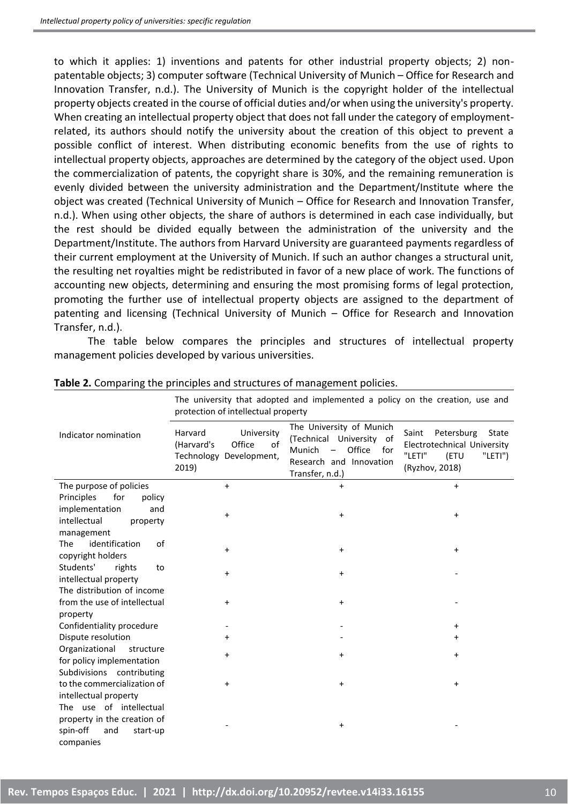to which it applies: 1) inventions and patents for other industrial property objects; 2) nonpatentable objects; 3) computer software (Technical University of Munich – Office for Research and Innovation Transfer, n.d.). The University of Munich is the copyright holder of the intellectual property objects created in the course of official duties and/or when using the university's property. When creating an intellectual property object that does not fall under the category of employmentrelated, its authors should notify the university about the creation of this object to prevent a possible conflict of interest. When distributing economic benefits from the use of rights to intellectual property objects, approaches are determined by the category of the object used. Upon the commercialization of patents, the copyright share is 30%, and the remaining remuneration is evenly divided between the university administration and the Department/Institute where the object was created (Technical University of Munich – Office for Research and Innovation Transfer, n.d.). When using other objects, the share of authors is determined in each case individually, but the rest should be divided equally between the administration of the university and the Department/Institute. The authors from Harvard University are guaranteed payments regardless of their current employment at the University of Munich. If such an author changes a structural unit, the resulting net royalties might be redistributed in favor of a new place of work. The functions of accounting new objects, determining and ensuring the most promising forms of legal protection, promoting the further use of intellectual property objects are assigned to the department of patenting and licensing (Technical University of Munich – Office for Research and Innovation Transfer, n.d.).

The table below compares the principles and structures of intellectual property management policies developed by various universities.

|                                                     | The university that adopted and implemented a policy on the creation, use and<br>protection of intellectual property |                                                                                                                               |                                                                                                               |  |
|-----------------------------------------------------|----------------------------------------------------------------------------------------------------------------------|-------------------------------------------------------------------------------------------------------------------------------|---------------------------------------------------------------------------------------------------------------|--|
| Indicator nomination                                | University<br>Harvard<br>Office<br>(Harvard's<br>of<br>Technology Development,<br>2019)                              | The University of Munich<br>(Technical University of<br>Office<br>Munich<br>for<br>Research and Innovation<br>Transfer, n.d.) | Petersburg<br>Saint<br>State<br>Electrotechnical University<br>"LETI"<br>(ETU<br>$"LETI"$ )<br>(Ryzhov, 2018) |  |
| The purpose of policies                             | $+$                                                                                                                  | $+$                                                                                                                           | $\ddot{}$                                                                                                     |  |
| Principles<br>for<br>policy                         |                                                                                                                      |                                                                                                                               |                                                                                                               |  |
| implementation<br>and                               | $\ddot{}$                                                                                                            | $\ddot{}$                                                                                                                     | $\pmb{+}$                                                                                                     |  |
| intellectual<br>property                            |                                                                                                                      |                                                                                                                               |                                                                                                               |  |
| management                                          |                                                                                                                      |                                                                                                                               |                                                                                                               |  |
| identification<br>of<br>The                         | $\ddot{}$                                                                                                            | $\ddot{}$                                                                                                                     | $\ddot{}$                                                                                                     |  |
| copyright holders                                   |                                                                                                                      |                                                                                                                               |                                                                                                               |  |
| Students'<br>rights<br>to                           | $\ddot{}$                                                                                                            | $\ddot{}$                                                                                                                     |                                                                                                               |  |
| intellectual property<br>The distribution of income |                                                                                                                      |                                                                                                                               |                                                                                                               |  |
| from the use of intellectual                        | $\ddot{}$                                                                                                            | $\ddot{}$                                                                                                                     |                                                                                                               |  |
| property                                            |                                                                                                                      |                                                                                                                               |                                                                                                               |  |
| Confidentiality procedure                           |                                                                                                                      |                                                                                                                               | $\ddot{}$                                                                                                     |  |
| Dispute resolution                                  | $\ddot{}$                                                                                                            |                                                                                                                               | +                                                                                                             |  |
| Organizational<br>structure                         |                                                                                                                      |                                                                                                                               |                                                                                                               |  |
| for policy implementation                           | $\ddot{}$                                                                                                            | $\ddot{}$                                                                                                                     | $\ddot{}$                                                                                                     |  |
| Subdivisions contributing                           |                                                                                                                      |                                                                                                                               |                                                                                                               |  |
| to the commercialization of                         | $\ddot{}$                                                                                                            | $\ddot{}$                                                                                                                     | $\ddot{}$                                                                                                     |  |
| intellectual property                               |                                                                                                                      |                                                                                                                               |                                                                                                               |  |
| The use of intellectual                             |                                                                                                                      |                                                                                                                               |                                                                                                               |  |
| property in the creation of                         |                                                                                                                      | $\ddot{}$                                                                                                                     |                                                                                                               |  |
| spin-off<br>and<br>start-up                         |                                                                                                                      |                                                                                                                               |                                                                                                               |  |
| companies                                           |                                                                                                                      |                                                                                                                               |                                                                                                               |  |

### **Table 2.** Comparing the principles and structures of management policies.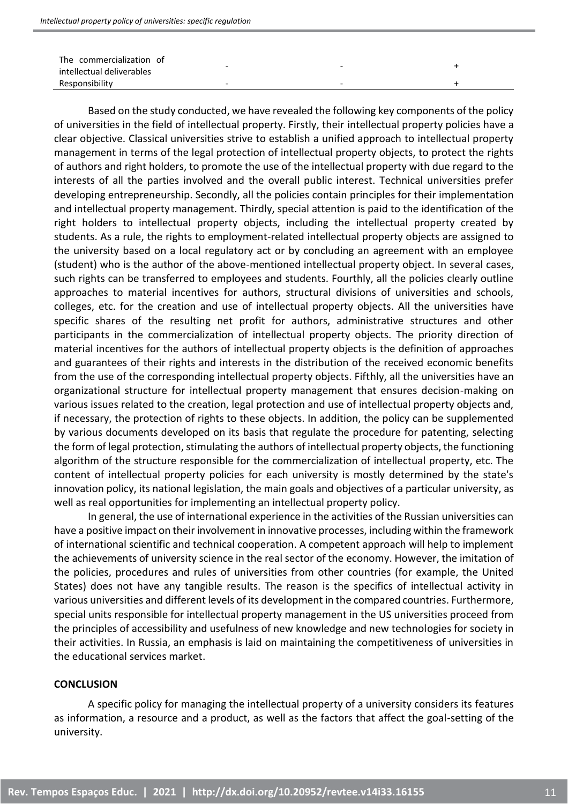| The commercialization of<br>intellectual deliverables |   | - |  |
|-------------------------------------------------------|---|---|--|
| Responsibility                                        | - | - |  |

Based on the study conducted, we have revealed the following key components of the policy of universities in the field of intellectual property. Firstly, their intellectual property policies have a clear objective. Classical universities strive to establish a unified approach to intellectual property management in terms of the legal protection of intellectual property objects, to protect the rights of authors and right holders, to promote the use of the intellectual property with due regard to the interests of all the parties involved and the overall public interest. Technical universities prefer developing entrepreneurship. Secondly, all the policies contain principles for their implementation and intellectual property management. Thirdly, special attention is paid to the identification of the right holders to intellectual property objects, including the intellectual property created by students. As a rule, the rights to employment-related intellectual property objects are assigned to the university based on a local regulatory act or by concluding an agreement with an employee (student) who is the author of the above-mentioned intellectual property object. In several cases, such rights can be transferred to employees and students. Fourthly, all the policies clearly outline approaches to material incentives for authors, structural divisions of universities and schools, colleges, etc. for the creation and use of intellectual property objects. All the universities have specific shares of the resulting net profit for authors, administrative structures and other participants in the commercialization of intellectual property objects. The priority direction of material incentives for the authors of intellectual property objects is the definition of approaches and guarantees of their rights and interests in the distribution of the received economic benefits from the use of the corresponding intellectual property objects. Fifthly, all the universities have an organizational structure for intellectual property management that ensures decision-making on various issues related to the creation, legal protection and use of intellectual property objects and, if necessary, the protection of rights to these objects. In addition, the policy can be supplemented by various documents developed on its basis that regulate the procedure for patenting, selecting the form of legal protection, stimulating the authors of intellectual property objects, the functioning algorithm of the structure responsible for the commercialization of intellectual property, etc. The content of intellectual property policies for each university is mostly determined by the state's innovation policy, its national legislation, the main goals and objectives of a particular university, as well as real opportunities for implementing an intellectual property policy.

In general, the use of international experience in the activities of the Russian universities can have a positive impact on their involvement in innovative processes, including within the framework of international scientific and technical cooperation. A competent approach will help to implement the achievements of university science in the real sector of the economy. However, the imitation of the policies, procedures and rules of universities from other countries (for example, the United States) does not have any tangible results. The reason is the specifics of intellectual activity in various universities and different levels of its development in the compared countries. Furthermore, special units responsible for intellectual property management in the US universities proceed from the principles of accessibility and usefulness of new knowledge and new technologies for society in their activities. In Russia, an emphasis is laid on maintaining the competitiveness of universities in the educational services market.

## **CONCLUSION**

A specific policy for managing the intellectual property of a university considers its features as information, a resource and a product, as well as the factors that affect the goal-setting of the university.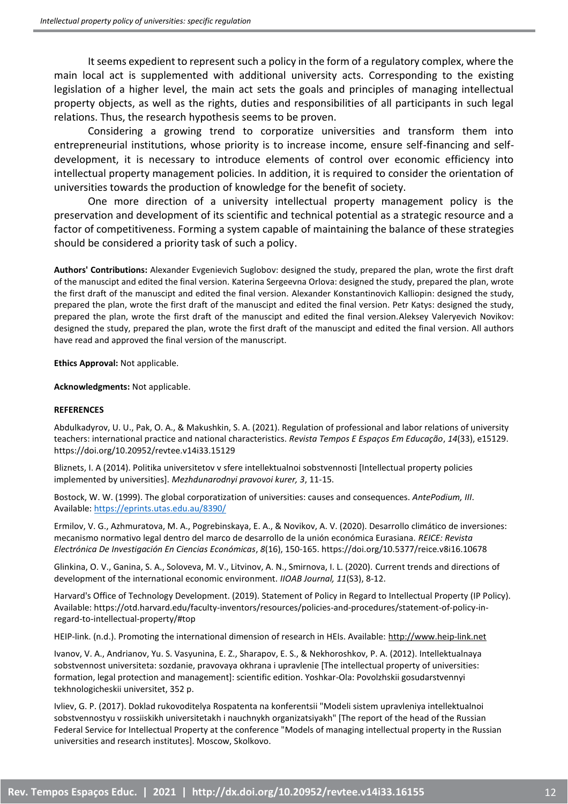It seems expedient to represent such a policy in the form of a regulatory complex, where the main local act is supplemented with additional university acts. Corresponding to the existing legislation of a higher level, the main act sets the goals and principles of managing intellectual property objects, as well as the rights, duties and responsibilities of all participants in such legal relations. Thus, the research hypothesis seems to be proven.

Considering a growing trend to corporatize universities and transform them into entrepreneurial institutions, whose priority is to increase income, ensure self-financing and selfdevelopment, it is necessary to introduce elements of control over economic efficiency into intellectual property management policies. In addition, it is required to consider the orientation of universities towards the production of knowledge for the benefit of society.

One more direction of a university intellectual property management policy is the preservation and development of its scientific and technical potential as a strategic resource and a factor of competitiveness. Forming a system capable of maintaining the balance of these strategies should be considered a priority task of such a policy.

**Authors' Contributions:** Alexander Evgenievich Suglobov: designed the study, prepared the plan, wrote the first draft of the manuscipt and edited the final version. Katerina Sergeevna Orlova: designed the study, prepared the plan, wrote the first draft of the manuscipt and edited the final version. Alexander Konstantinovich Kalliopin: designed the study, prepared the plan, wrote the first draft of the manuscipt and edited the final version. Petr Katys: designed the study, prepared the plan, wrote the first draft of the manuscipt and edited the final version.Aleksey Valeryevich Novikov: designed the study, prepared the plan, wrote the first draft of the manuscipt and edited the final version. All authors have read and approved the final version of the manuscript.

**Ethics Approval:** Not applicable.

**Acknowledgments:** Not applicable.

#### **REFERENCES**

Abdulkadyrov, U. U., Pak, O. A., & Makushkin, S. A. (2021). Regulation of professional and labor relations of university teachers: international practice and national characteristics. *Revista Tempos E Espaços Em Educação*, *14*(33), e15129. https://doi.org/10.20952/revtee.v14i33.15129

Bliznets, I. A (2014). Politika universitetov v sfere intellektualnoi sobstvennosti [Intellectual property policies implemented by universities]. *Mezhdunarodnyi pravovoi kurer, 3*, 11-15.

Bostock, W. W. (1999). The global corporatization of universities: causes and consequences. *AntePodium, III*. Available: <https://eprints.utas.edu.au/8390/>

Ermilov, V. G., Azhmuratova, M. A., Pogrebinskaya, E. A., & Novikov, A. V. (2020). Desarrollo climático de inversiones: mecanismo normativo legal dentro del marco de desarrollo de la unión económica Eurasiana. *REICE: Revista Electrónica De Investigación En Ciencias Económicas*, *8*(16), 150-165. https://doi.org/10.5377/reice.v8i16.10678

Glinkina, O. V., Ganina, S. A., Soloveva, M. V., Litvinov, A. N., Smirnova, I. L. (2020). Current trends and directions of development of the international economic environment. *IIOAB Journal, 11*(S3), 8-12.

Harvard's Office of Technology Development. (2019). Statement of Policy in Regard to Intellectual Property (IP Policy). Available: https://otd.harvard.edu/faculty-inventors/resources/policies-and-procedures/statement-of-policy-inregard-to-intellectual-property/#top

HEIP-link. (n.d.). Promoting the international dimension of research in HEIs. Available[: http://www.heip-link.net](http://www.heip-link.net/)

Ivanov, V. A., Andrianov, Yu. S. Vasyunina, E. Z., Sharapov, E. S., & Nekhoroshkov, P. A. (2012). Intellektualnaya sobstvennost universiteta: sozdanie, pravovaya okhrana i upravlenie [The intellectual property of universities: formation, legal protection and management]: scientific edition. Yoshkar-Ola: Povolzhskii gosudarstvennyi tekhnologicheskii universitet, 352 p.

Ivliev, G. P. (2017). Doklad rukovoditelya Rospatenta na konferentsii "Modeli sistem upravleniya intellektualnoi sobstvennostyu v rossiiskikh universitetakh i nauchnykh organizatsiyakh" [The report of the head of the Russian Federal Service for Intellectual Property at the conference "Models of managing intellectual property in the Russian universities and research institutes]. Moscow, Skolkovo.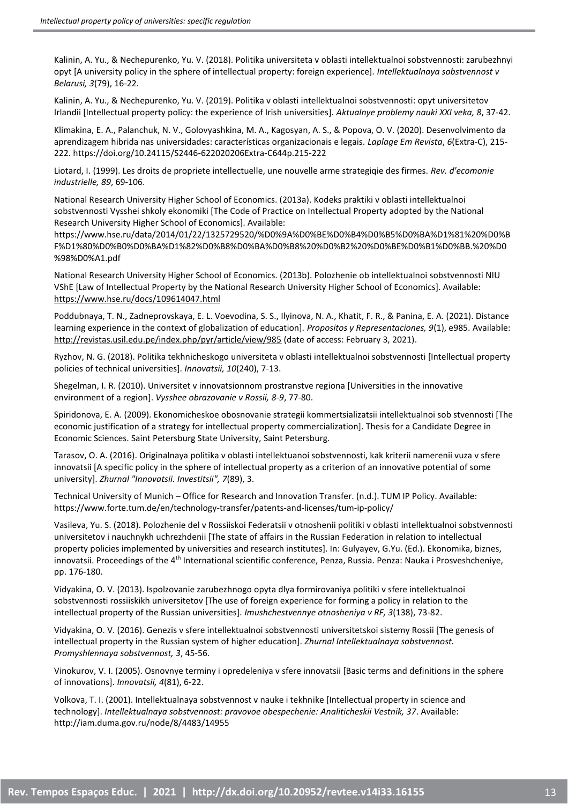Kalinin, A. Yu., & Nechepurenko, Yu. V. (2018). Politika universiteta v oblasti intellektualnoi sobstvennosti: zarubezhnyi opyt [A university policy in the sphere of intellectual property: foreign experience]. *Intellektualnaya sobstvennost v Belarusi, 3*(79), 16-22.

Kalinin, A. Yu., & Nechepurenko, Yu. V. (2019). Politika v oblasti intellektualnoi sobstvennosti: opyt universitetov Irlandii [Intellectual property policy: the experience of Irish universities]. *Aktualnye problemy nauki XXI veka, 8*, 37-42.

Klimakina, E. A., Palanchuk, N. V., Golovyashkina, M. A., Kagosyan, A. S., & Popova, O. V. (2020). Desenvolvimento da aprendizagem hibrida nas universidades: características organizacionais e legais. *Laplage Em Revista*, *6*(Extra-C), 215- 222. https://doi.org/10.24115/S2446-622020206Extra-C644p.215-222

Liotard, I. (1999). Les droits de propriete intellectuelle, une nouvelle arme strategiqie des firmes. *Rev. d'ecomonie industrielle, 89*, 69-106.

National Research University Higher School of Economics. (2013a). Kodeks praktiki v oblasti intellektualnoi sobstvennosti Vysshei shkoly ekonomiki [The Code of Practice on Intellectual Property adopted by the National Research University Higher School of Economics]. Available:

https://www.hse.ru/data/2014/01/22/1325729520/%D0%9A%D0%BE%D0%B4%D0%B5%D0%BA%D1%81%20%D0%B F%D1%80%D0%B0%D0%BA%D1%82%D0%B8%D0%BA%D0%B8%20%D0%B2%20%D0%BE%D0%B1%D0%BB.%20%D0 %98%D0%A1.pdf

National Research University Higher School of Economics. (2013b). Polozhenie ob intellektualnoi sobstvennosti NIU VShE [Law of Intellectual Property by the National Research University Higher School of Economics]. Available: <https://www.hse.ru/docs/109614047.html>

Poddubnaya, T. N., Zadneprovskaya, E. L. Voevodina, S. S., Ilyinova, N. A., Khatit, F. R., & Panina, E. A. (2021). Distance learning experience in the context of globalization of education]. *Propositos y Representaciones, 9*(1), e985. Available: <http://revistas.usil.edu.pe/index.php/pyr/article/view/985> (date of access: February 3, 2021).

Ryzhov, N. G. (2018). Politika tekhnicheskogo universiteta v oblasti intellektualnoi sobstvennosti [Intellectual property policies of technical universities]. *Innovatsii, 10*(240), 7-13.

Shegelman, I. R. (2010). Universitet v innovatsionnom prostranstve regiona [Universities in the innovative environment of a region]. *Vysshee obrazovanie v Rossii, 8‐9*, 77-80.

Spiridonova, E. A. (2009). Ekonomicheskoe obosnovanie strategii kommertsializatsii intellektualnoi sob stvennosti [The economic justification of a strategy for intellectual property commercialization]. Thesis for a Candidate Degree in Economic Sciences. Saint Petersburg State University, Saint Petersburg.

Tarasov, O. A. (2016). Originalnaya politika v oblasti intellektuanoi sobstvennosti, kak kriterii namerenii vuza v sfere innovatsii [A specific policy in the sphere of intellectual property as a criterion of an innovative potential of some university]. *Zhurnal "Innovatsii. Investitsii", 7*(89), 3.

Technical University of Munich – Office for Research and Innovation Transfer. (n.d.). TUM IP Policy. Available: https://www.forte.tum.de/en/technology-transfer/patents-and-licenses/tum-ip-policy/

Vasileva, Yu. S. (2018). Polozhenie del v Rossiiskoi Federatsii v otnoshenii politiki v oblasti intellektualnoi sobstvennosti universitetov i nauchnykh uchrezhdenii [The state of affairs in the Russian Federation in relation to intellectual property policies implemented by universities and research institutes]. In: Gulyayev, G.Yu. (Ed.). Ekonomika, biznes, innovatsii. Proceedings of the 4<sup>th</sup> International scientific conference, Penza, Russia. Penza: Nauka i Prosveshcheniye, pp. 176-180.

Vidyakina, O. V. (2013). Ispolzovanie zarubezhnogo opyta dlya formirovaniya politiki v sfere intellektualnoi sobstvennosti rossiiskikh universitetov [The use of foreign experience for forming a policy in relation to the intellectual property of the Russian universities]. *Imushchestvennye otnosheniya v RF, 3*(138), 73-82.

Vidyakina, O. V. (2016). Genezis v sfere intellektualnoi sobstvennosti universitetskoi sistemy Rossii [The genesis of intellectual property in the Russian system of higher education]. *Zhurnal Intellektualnaya sobstvennost. Promyshlennaya sobstvennost, 3*, 45-56.

Vinokurov, V. I. (2005). Osnovnye terminy i opredeleniya v sfere innovatsii [Basic terms and definitions in the sphere of innovations]. *Innovatsii, 4*(81), 6-22.

Volkova, T. I. (2001). Intellektualnaya sobstvennost v nauke i tekhnike [Intellectual property in science and technology]. *Intellektualnaya sobstvennost: pravovoe obespechenie: Analiticheskii Vestnik, 37*. Available: http://iam.duma.gov.ru/node/8/4483/14955